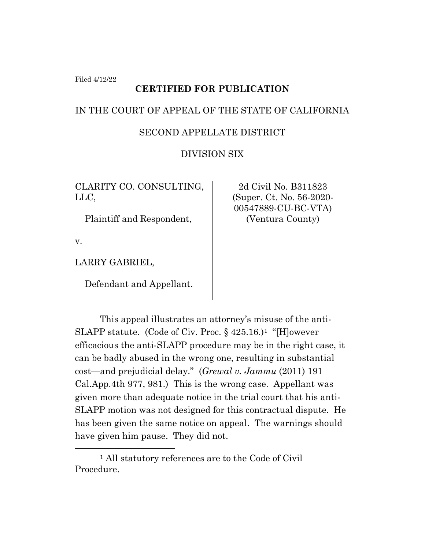Filed 4/12/22

# **CERTIFIED FOR PUBLICATION**

### IN THE COURT OF APPEAL OF THE STATE OF CALIFORNIA

# SECOND APPELLATE DISTRICT

# DIVISION SIX

CLARITY CO. CONSULTING, LLC,

Plaintiff and Respondent,

v.

LARRY GABRIEL,

Defendant and Appellant.

2d Civil No. B311823 (Super. Ct. No. 56-2020- 00547889-CU-BC-VTA) (Ventura County)

This appeal illustrates an attorney's misuse of the anti-SLAPP statute. (Code of Civ. Proc. § 425.16.)<sup>1</sup> "[H]owever efficacious the anti-SLAPP procedure may be in the right case, it can be badly abused in the wrong one, resulting in substantial cost—and prejudicial delay." (*Grewal v. Jammu* (2011) 191 Cal.App.4th 977, 981.) This is the wrong case. Appellant was given more than adequate notice in the trial court that his anti-SLAPP motion was not designed for this contractual dispute. He has been given the same notice on appeal. The warnings should have given him pause. They did not.

<sup>&</sup>lt;sup>1</sup> All statutory references are to the Code of Civil Procedure.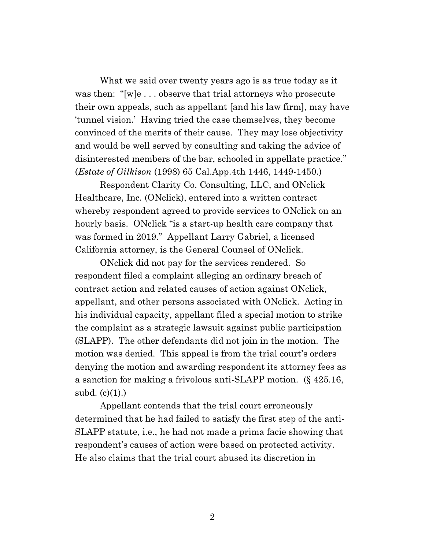What we said over twenty years ago is as true today as it was then: "[w]e . . . observe that trial attorneys who prosecute their own appeals, such as appellant [and his law firm], may have 'tunnel vision.' Having tried the case themselves, they become convinced of the merits of their cause. They may lose objectivity and would be well served by consulting and taking the advice of disinterested members of the bar, schooled in appellate practice." (*Estate of Gilkison* (1998) 65 Cal.App.4th 1446, 1449-1450.)

Respondent Clarity Co. Consulting, LLC, and ONclick Healthcare, Inc. (ONclick), entered into a written contract whereby respondent agreed to provide services to ONclick on an hourly basis. ONclick "is a start-up health care company that was formed in 2019." Appellant Larry Gabriel, a licensed California attorney, is the General Counsel of ONclick.

ONclick did not pay for the services rendered. So respondent filed a complaint alleging an ordinary breach of contract action and related causes of action against ONclick, appellant, and other persons associated with ONclick. Acting in his individual capacity, appellant filed a special motion to strike the complaint as a strategic lawsuit against public participation (SLAPP). The other defendants did not join in the motion. The motion was denied. This appeal is from the trial court's orders denying the motion and awarding respondent its attorney fees as a sanction for making a frivolous anti-SLAPP motion. (§ 425.16, subd.  $(c)(1)$ .)

Appellant contends that the trial court erroneously determined that he had failed to satisfy the first step of the anti-SLAPP statute, i.e., he had not made a prima facie showing that respondent's causes of action were based on protected activity. He also claims that the trial court abused its discretion in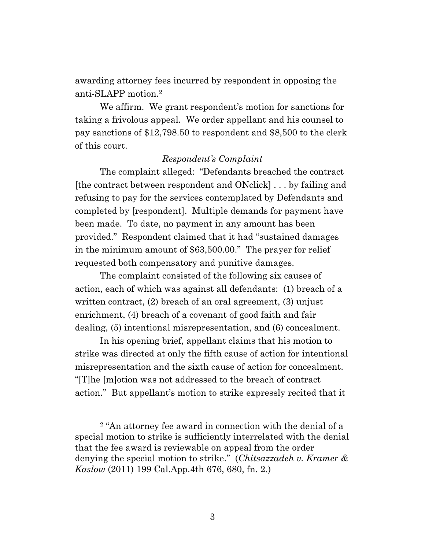awarding attorney fees incurred by respondent in opposing the anti-SLAPP motion.<sup>2</sup>

We affirm. We grant respondent's motion for sanctions for taking a frivolous appeal. We order appellant and his counsel to pay sanctions of \$12,798.50 to respondent and \$8,500 to the clerk of this court.

#### *Respondent's Complaint*

The complaint alleged: "Defendants breached the contract [the contract between respondent and ONclick] . . . by failing and refusing to pay for the services contemplated by Defendants and completed by [respondent]. Multiple demands for payment have been made. To date, no payment in any amount has been provided." Respondent claimed that it had "sustained damages in the minimum amount of \$63,500.00." The prayer for relief requested both compensatory and punitive damages.

The complaint consisted of the following six causes of action, each of which was against all defendants: (1) breach of a written contract, (2) breach of an oral agreement, (3) unjust enrichment, (4) breach of a covenant of good faith and fair dealing, (5) intentional misrepresentation, and (6) concealment.

In his opening brief, appellant claims that his motion to strike was directed at only the fifth cause of action for intentional misrepresentation and the sixth cause of action for concealment. "[T]he [m]otion was not addressed to the breach of contract action." But appellant's motion to strike expressly recited that it

<sup>2</sup> "An attorney fee award in connection with the denial of a special motion to strike is sufficiently interrelated with the denial that the fee award is reviewable on appeal from the order denying the special motion to strike." (*Chitsazzadeh v. Kramer & Kaslow* (2011) 199 Cal.App.4th 676, 680, fn. 2.)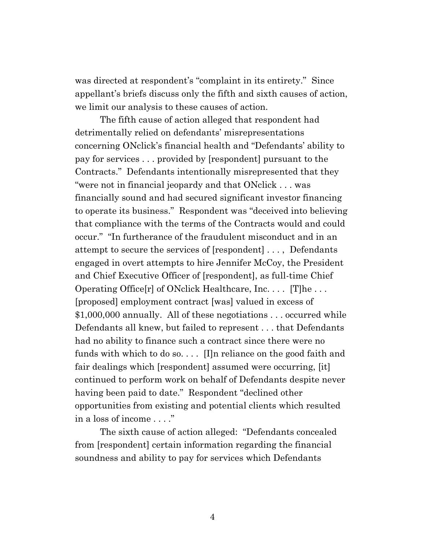was directed at respondent's "complaint in its entirety." Since appellant's briefs discuss only the fifth and sixth causes of action, we limit our analysis to these causes of action.

The fifth cause of action alleged that respondent had detrimentally relied on defendants' misrepresentations concerning ONclick's financial health and "Defendants' ability to pay for services . . . provided by [respondent] pursuant to the Contracts." Defendants intentionally misrepresented that they "were not in financial jeopardy and that ONclick . . . was financially sound and had secured significant investor financing to operate its business." Respondent was "deceived into believing that compliance with the terms of the Contracts would and could occur." "In furtherance of the fraudulent misconduct and in an attempt to secure the services of [respondent] . . . , Defendants engaged in overt attempts to hire Jennifer McCoy, the President and Chief Executive Officer of [respondent], as full-time Chief Operating Office $[r]$  of ONclick Healthcare, Inc.  $\ldots$  [T]he  $\ldots$ [proposed] employment contract [was] valued in excess of \$1,000,000 annually. All of these negotiations . . . occurred while Defendants all knew, but failed to represent . . . that Defendants had no ability to finance such a contract since there were no funds with which to do so. . . . [I]n reliance on the good faith and fair dealings which [respondent] assumed were occurring, [it] continued to perform work on behalf of Defendants despite never having been paid to date." Respondent "declined other opportunities from existing and potential clients which resulted in a loss of income . . . ."

The sixth cause of action alleged: "Defendants concealed from [respondent] certain information regarding the financial soundness and ability to pay for services which Defendants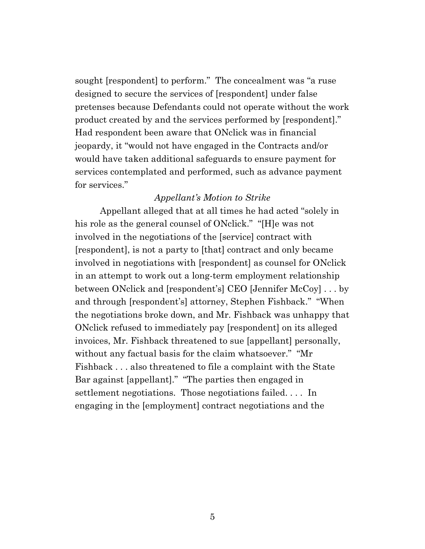sought [respondent] to perform." The concealment was "a ruse designed to secure the services of [respondent] under false pretenses because Defendants could not operate without the work product created by and the services performed by [respondent]." Had respondent been aware that ONclick was in financial jeopardy, it "would not have engaged in the Contracts and/or would have taken additional safeguards to ensure payment for services contemplated and performed, such as advance payment for services."

#### *Appellant's Motion to Strike*

Appellant alleged that at all times he had acted "solely in his role as the general counsel of ONclick." "[H]e was not involved in the negotiations of the [service] contract with [respondent], is not a party to [that] contract and only became involved in negotiations with [respondent] as counsel for ONclick in an attempt to work out a long-term employment relationship between ONclick and [respondent's] CEO [Jennifer McCoy] . . . by and through [respondent's] attorney, Stephen Fishback." "When the negotiations broke down, and Mr. Fishback was unhappy that ONclick refused to immediately pay [respondent] on its alleged invoices, Mr. Fishback threatened to sue [appellant] personally, without any factual basis for the claim whatsoever." "Mr Fishback . . . also threatened to file a complaint with the State Bar against [appellant]." "The parties then engaged in settlement negotiations. Those negotiations failed. . . . In engaging in the [employment] contract negotiations and the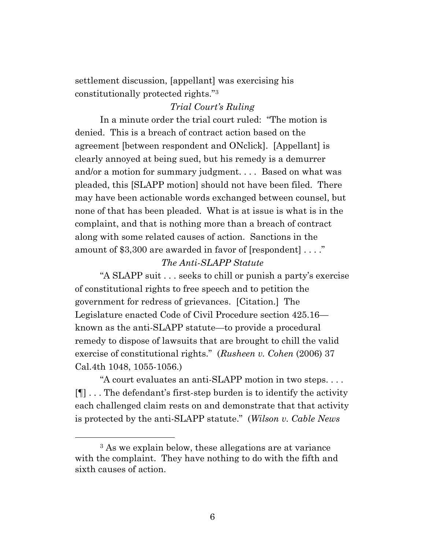settlement discussion, [appellant] was exercising his constitutionally protected rights."<sup>3</sup>

## *Trial Court's Ruling*

In a minute order the trial court ruled: "The motion is denied. This is a breach of contract action based on the agreement [between respondent and ONclick]. [Appellant] is clearly annoyed at being sued, but his remedy is a demurrer and/or a motion for summary judgment. . . . Based on what was pleaded, this [SLAPP motion] should not have been filed. There may have been actionable words exchanged between counsel, but none of that has been pleaded. What is at issue is what is in the complaint, and that is nothing more than a breach of contract along with some related causes of action. Sanctions in the amount of \$3,300 are awarded in favor of [respondent] . . . ."

#### *The Anti-SLAPP Statute*

"A SLAPP suit . . . seeks to chill or punish a party's exercise of constitutional rights to free speech and to petition the government for redress of grievances. [Citation.] The Legislature enacted Code of Civil Procedure section 425.16 known as the anti-SLAPP statute—to provide a procedural remedy to dispose of lawsuits that are brought to chill the valid exercise of constitutional rights." (*Rusheen v. Cohen* (2006) 37 Cal.4th 1048, 1055-1056.)

"A court evaluates an anti-SLAPP motion in two steps. . . . [¶] . . . The defendant's first-step burden is to identify the activity each challenged claim rests on and demonstrate that that activity is protected by the anti-SLAPP statute." (*Wilson v. Cable News*

<sup>3</sup> As we explain below, these allegations are at variance with the complaint. They have nothing to do with the fifth and sixth causes of action.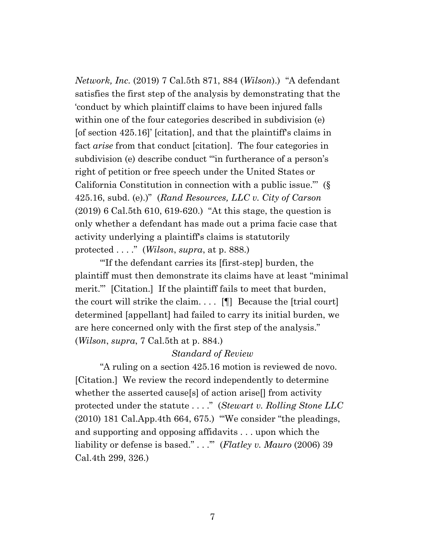*Network, Inc.* (2019) 7 Cal.5th 871, 884 (*Wilson*).) "A defendant satisfies the first step of the analysis by demonstrating that the 'conduct by which plaintiff claims to have been injured falls within one of the four categories described in subdivision (e) [of section 425.16]' [citation], and that the plaintiff's claims in fact *arise* from that conduct [citation]. The four categories in subdivision (e) describe conduct '"in furtherance of a person's right of petition or free speech under the United States or California Constitution in connection with a public issue."' (§ 425.16, subd. (e).)" (*Rand Resources, LLC v. City of Carson* (2019) 6 Cal.5th 610, 619-620.) "At this stage, the question is only whether a defendant has made out a prima facie case that activity underlying a plaintiff's claims is statutorily protected . . . ." (*Wilson*, *supra*, at p. 888.)

"'If the defendant carries its [first-step] burden, the plaintiff must then demonstrate its claims have at least "minimal merit." [Citation.] If the plaintiff fails to meet that burden, the court will strike the claim.  $\ldots$  [[] Because the [trial court] determined [appellant] had failed to carry its initial burden, we are here concerned only with the first step of the analysis." (*Wilson*, *supra*, 7 Cal.5th at p. 884.)

#### *Standard of Review*

"A ruling on a section 425.16 motion is reviewed de novo. [Citation.] We review the record independently to determine whether the asserted cause[s] of action arise[] from activity protected under the statute . . . ." (*Stewart v. Rolling Stone LLC* (2010) 181 Cal.App.4th 664, 675.) "'We consider "the pleadings, and supporting and opposing affidavits . . . upon which the liability or defense is based." . . .'" (*Flatley v. Mauro* (2006) 39 Cal.4th 299, 326.)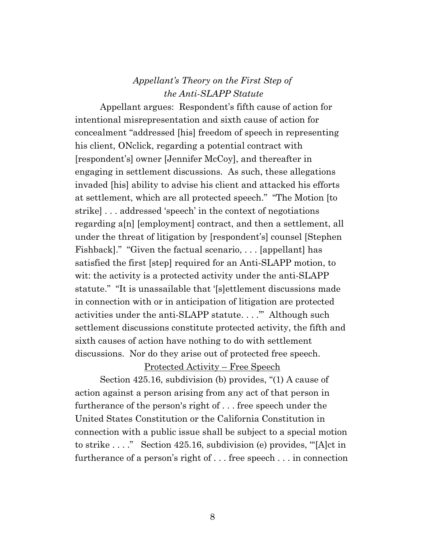# *Appellant's Theory on the First Step of the Anti-SLAPP Statute*

Appellant argues: Respondent's fifth cause of action for intentional misrepresentation and sixth cause of action for concealment "addressed [his] freedom of speech in representing his client, ONclick, regarding a potential contract with [respondent's] owner [Jennifer McCoy], and thereafter in engaging in settlement discussions. As such, these allegations invaded [his] ability to advise his client and attacked his efforts at settlement, which are all protected speech." "The Motion [to strike] . . . addressed 'speech' in the context of negotiations regarding a[n] [employment] contract, and then a settlement, all under the threat of litigation by [respondent's] counsel [Stephen Fishback]." "Given the factual scenario, . . . [appellant] has satisfied the first [step] required for an Anti-SLAPP motion, to wit: the activity is a protected activity under the anti-SLAPP statute." "It is unassailable that '[s]ettlement discussions made in connection with or in anticipation of litigation are protected activities under the anti-SLAPP statute. . . .'" Although such settlement discussions constitute protected activity, the fifth and sixth causes of action have nothing to do with settlement discussions. Nor do they arise out of protected free speech.

Protected Activity – Free Speech

Section 425.16, subdivision (b) provides, "(1) A cause of action against a person arising from any act of that person in furtherance of the person's right of . . . free speech under the United States Constitution or the California Constitution in connection with a public issue shall be subject to a special motion to strike . . . ." Section 425.16, subdivision (e) provides, "'[A]ct in furtherance of a person's right of . . . free speech . . . in connection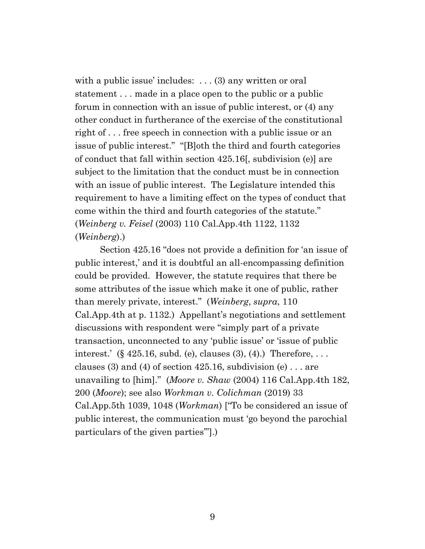with a public issue' includes: . . . (3) any written or oral statement . . . made in a place open to the public or a public forum in connection with an issue of public interest, or (4) any other conduct in furtherance of the exercise of the constitutional right of . . . free speech in connection with a public issue or an issue of public interest." "[B]oth the third and fourth categories of conduct that fall within section 425.16[, subdivision (e)] are subject to the limitation that the conduct must be in connection with an issue of public interest. The Legislature intended this requirement to have a limiting effect on the types of conduct that come within the third and fourth categories of the statute." (*Weinberg v. Feisel* (2003) 110 Cal.App.4th 1122, 1132 (*Weinberg*).)

Section 425.16 "does not provide a definition for 'an issue of public interest,' and it is doubtful an all-encompassing definition could be provided. However, the statute requires that there be some attributes of the issue which make it one of public, rather than merely private, interest." (*Weinberg*, *supra*, 110 Cal.App.4th at p. 1132.) Appellant's negotiations and settlement discussions with respondent were "simply part of a private transaction, unconnected to any 'public issue' or 'issue of public interest.'  $(\S 425.16, \text{subd}, (e), \text{clauses } (3), (4))$ . Therefore, ... clauses (3) and (4) of section  $425.16$ , subdivision (e) ... are unavailing to [him]." (*Moore v. Shaw* (2004) 116 Cal.App.4th 182, 200 (*Moore*); see also *Workman v. Colichman* (2019) 33 Cal.App.5th 1039, 1048 (*Workman*) ["To be considered an issue of public interest, the communication must 'go beyond the parochial particulars of the given parties'"].)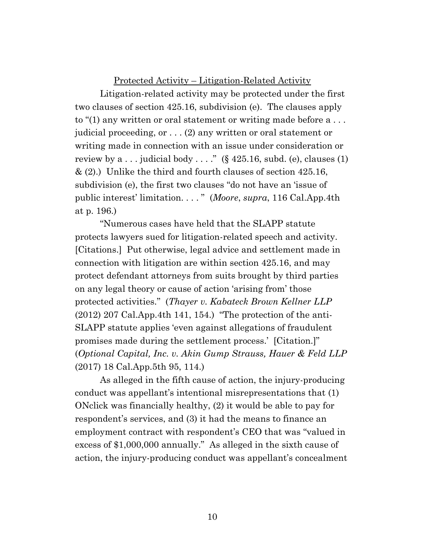#### Protected Activity – Litigation-Related Activity

Litigation-related activity may be protected under the first two clauses of section 425.16, subdivision (e). The clauses apply to "(1) any written or oral statement or writing made before a . . . judicial proceeding, or . . . (2) any written or oral statement or writing made in connection with an issue under consideration or review by  $a \dots$  judicial body  $\dots$ ." (§ 425.16, subd. (e), clauses (1) & (2).) Unlike the third and fourth clauses of section 425.16, subdivision (e), the first two clauses "do not have an 'issue of public interest' limitation. . . . " (*Moore*, *supra*, 116 Cal.App.4th at p. 196.)

"Numerous cases have held that the SLAPP statute protects lawyers sued for litigation-related speech and activity. [Citations.] Put otherwise, legal advice and settlement made in connection with litigation are within section 425.16, and may protect defendant attorneys from suits brought by third parties on any legal theory or cause of action 'arising from' those protected activities." (*Thayer v. Kabateck Brown Kellner LLP*  $(2012)$  207 Cal.App.4th 141, 154.) "The protection of the anti-SLAPP statute applies 'even against allegations of fraudulent promises made during the settlement process.' [Citation.]" (*Optional Capital, Inc. v. Akin Gump Strauss, Hauer & Feld LLP* (2017) 18 Cal.App.5th 95, 114.)

As alleged in the fifth cause of action, the injury-producing conduct was appellant's intentional misrepresentations that (1) ONclick was financially healthy, (2) it would be able to pay for respondent's services, and (3) it had the means to finance an employment contract with respondent's CEO that was "valued in excess of \$1,000,000 annually." As alleged in the sixth cause of action, the injury-producing conduct was appellant's concealment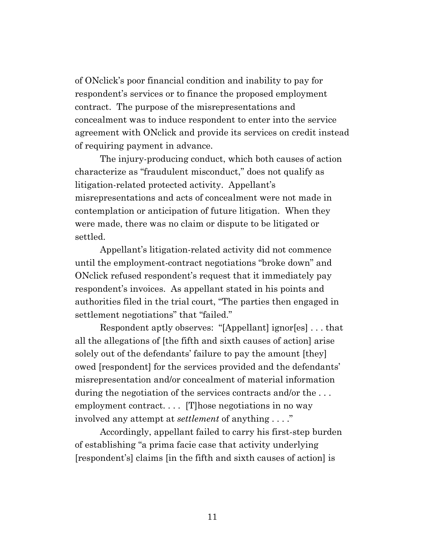of ONclick's poor financial condition and inability to pay for respondent's services or to finance the proposed employment contract. The purpose of the misrepresentations and concealment was to induce respondent to enter into the service agreement with ONclick and provide its services on credit instead of requiring payment in advance.

The injury-producing conduct, which both causes of action characterize as "fraudulent misconduct," does not qualify as litigation-related protected activity. Appellant's misrepresentations and acts of concealment were not made in contemplation or anticipation of future litigation. When they were made, there was no claim or dispute to be litigated or settled.

Appellant's litigation-related activity did not commence until the employment-contract negotiations "broke down" and ONclick refused respondent's request that it immediately pay respondent's invoices. As appellant stated in his points and authorities filed in the trial court, "The parties then engaged in settlement negotiations" that "failed."

Respondent aptly observes: "[Appellant] ignor[es] . . . that all the allegations of [the fifth and sixth causes of action] arise solely out of the defendants' failure to pay the amount [they] owed [respondent] for the services provided and the defendants' misrepresentation and/or concealment of material information during the negotiation of the services contracts and/or the ... employment contract.... [T] hose negotiations in no way involved any attempt at *settlement* of anything . . . ."

Accordingly, appellant failed to carry his first-step burden of establishing "a prima facie case that activity underlying [respondent's] claims [in the fifth and sixth causes of action] is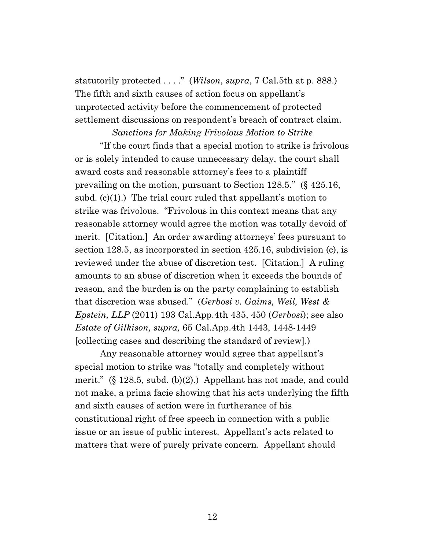statutorily protected . . . ." (*Wilson*, *supra*, 7 Cal.5th at p. 888.) The fifth and sixth causes of action focus on appellant's unprotected activity before the commencement of protected settlement discussions on respondent's breach of contract claim.

*Sanctions for Making Frivolous Motion to Strike* "If the court finds that a special motion to strike is frivolous or is solely intended to cause unnecessary delay, the court shall award costs and reasonable attorney's fees to a plaintiff prevailing on the motion, pursuant to Section 128.5." (§ 425.16, subd.  $(c)(1)$ .) The trial court ruled that appellant's motion to strike was frivolous. "Frivolous in this context means that any reasonable attorney would agree the motion was totally devoid of merit. [Citation.] An order awarding attorneys' fees pursuant to section 128.5, as incorporated in section 425.16, subdivision (c), is reviewed under the abuse of discretion test. [Citation.] A ruling amounts to an abuse of discretion when it exceeds the bounds of reason, and the burden is on the party complaining to establish that discretion was abused." (*Gerbosi v. Gaims, Weil, West & Epstein, LLP* (2011) 193 Cal.App.4th 435, 450 (*Gerbosi*); see also *Estate of Gilkison, supra,* 65 Cal.App.4th 1443, 1448-1449 [collecting cases and describing the standard of review].)

Any reasonable attorney would agree that appellant's special motion to strike was "totally and completely without merit."  $(\S 128.5, \text{subd. (b)}(2))$  Appellant has not made, and could not make, a prima facie showing that his acts underlying the fifth and sixth causes of action were in furtherance of his constitutional right of free speech in connection with a public issue or an issue of public interest. Appellant's acts related to matters that were of purely private concern. Appellant should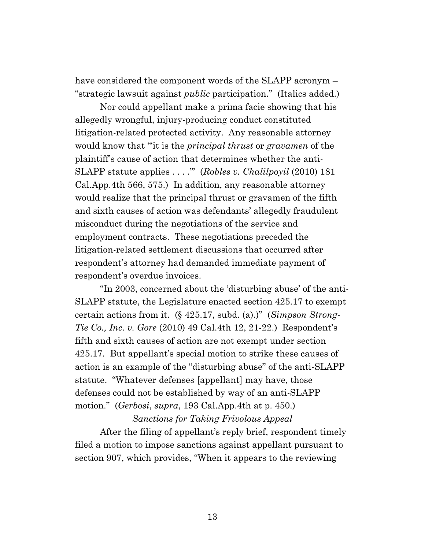have considered the component words of the SLAPP acronym – "strategic lawsuit against *public* participation." (Italics added.)

Nor could appellant make a prima facie showing that his allegedly wrongful, injury-producing conduct constituted litigation-related protected activity. Any reasonable attorney would know that "'it is the *principal thrust* or *gravamen* of the plaintiff's cause of action that determines whether the anti-SLAPP statute applies . . . .'" (*Robles v. Chalilpoyil* (2010) 181 Cal.App.4th 566, 575.) In addition, any reasonable attorney would realize that the principal thrust or gravamen of the fifth and sixth causes of action was defendants' allegedly fraudulent misconduct during the negotiations of the service and employment contracts. These negotiations preceded the litigation-related settlement discussions that occurred after respondent's attorney had demanded immediate payment of respondent's overdue invoices.

"In 2003, concerned about the 'disturbing abuse' of the anti-SLAPP statute, the Legislature enacted section 425.17 to exempt certain actions from it. (§ 425.17, subd. (a).)" (*Simpson Strong-Tie Co., Inc. v. Gore* (2010) 49 Cal.4th 12, 21-22.) Respondent's fifth and sixth causes of action are not exempt under section 425.17. But appellant's special motion to strike these causes of action is an example of the "disturbing abuse" of the anti-SLAPP statute. "Whatever defenses [appellant] may have, those defenses could not be established by way of an anti-SLAPP motion." (*Gerbosi*, *supra*, 193 Cal.App.4th at p. 450.)

#### *Sanctions for Taking Frivolous Appeal*

After the filing of appellant's reply brief, respondent timely filed a motion to impose sanctions against appellant pursuant to section 907, which provides, "When it appears to the reviewing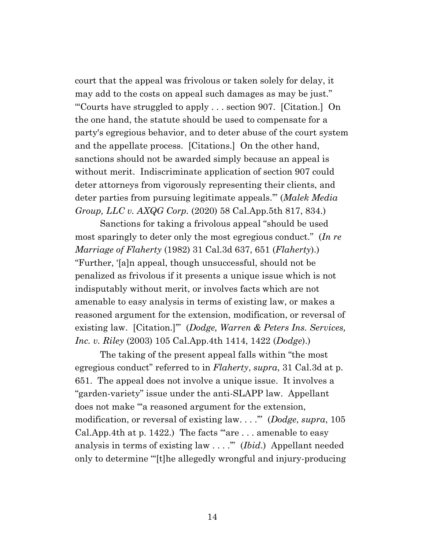court that the appeal was frivolous or taken solely for delay, it may add to the costs on appeal such damages as may be just." "'Courts have struggled to apply . . . section 907. [Citation.] On the one hand, the statute should be used to compensate for a party's egregious behavior, and to deter abuse of the court system and the appellate process. [Citations.] On the other hand, sanctions should not be awarded simply because an appeal is without merit. Indiscriminate application of section 907 could deter attorneys from vigorously representing their clients, and deter parties from pursuing legitimate appeals.'" (*Malek Media Group, LLC v. AXQG Corp.* (2020) 58 Cal.App.5th 817, 834.)

Sanctions for taking a frivolous appeal "should be used most sparingly to deter only the most egregious conduct." (*In re Marriage of Flaherty* (1982) 31 Cal.3d 637, 651 (*Flaherty*).) "Further, '[a]n appeal, though unsuccessful, should not be penalized as frivolous if it presents a unique issue which is not indisputably without merit, or involves facts which are not amenable to easy analysis in terms of existing law, or makes a reasoned argument for the extension, modification, or reversal of existing law. [Citation.]'" (*Dodge, Warren & Peters Ins. Services, Inc. v. Riley* (2003) 105 Cal.App.4th 1414, 1422 (*Dodge*).)

The taking of the present appeal falls within "the most egregious conduct" referred to in *Flaherty*, *supra*, 31 Cal.3d at p. 651. The appeal does not involve a unique issue. It involves a "garden-variety" issue under the anti-SLAPP law. Appellant does not make "'a reasoned argument for the extension, modification, or reversal of existing law. . . .'" (*Dodge*, *supra*, 105 Cal.App.4th at p. 1422.) The facts "are . . . amenable to easy analysis in terms of existing law . . . .'" (*Ibid*.) Appellant needed only to determine "'[t]he allegedly wrongful and injury-producing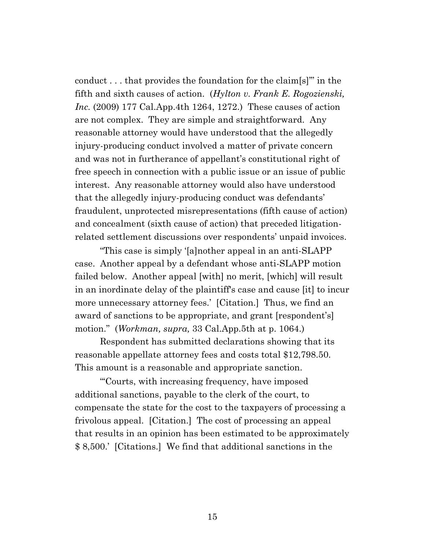conduct . . . that provides the foundation for the claim[s]'" in the fifth and sixth causes of action. (*Hylton v. Frank E. Rogozienski, Inc.* (2009) 177 Cal.App.4th 1264, 1272.) These causes of action are not complex. They are simple and straightforward. Any reasonable attorney would have understood that the allegedly injury-producing conduct involved a matter of private concern and was not in furtherance of appellant's constitutional right of free speech in connection with a public issue or an issue of public interest. Any reasonable attorney would also have understood that the allegedly injury-producing conduct was defendants' fraudulent, unprotected misrepresentations (fifth cause of action) and concealment (sixth cause of action) that preceded litigationrelated settlement discussions over respondents' unpaid invoices.

"This case is simply '[a]nother appeal in an anti-SLAPP case. Another appeal by a defendant whose anti-SLAPP motion failed below. Another appeal [with] no merit, [which] will result in an inordinate delay of the plaintiff's case and cause [it] to incur more unnecessary attorney fees.' [Citation.] Thus, we find an award of sanctions to be appropriate, and grant [respondent's] motion." (*Workman, supra,* 33 Cal.App.5th at p. 1064.)

Respondent has submitted declarations showing that its reasonable appellate attorney fees and costs total \$12,798.50. This amount is a reasonable and appropriate sanction.

"'Courts, with increasing frequency, have imposed additional sanctions, payable to the clerk of the court, to compensate the state for the cost to the taxpayers of processing a frivolous appeal. [Citation.] The cost of processing an appeal that results in an opinion has been estimated to be approximately \$ 8,500.' [Citations.] We find that additional sanctions in the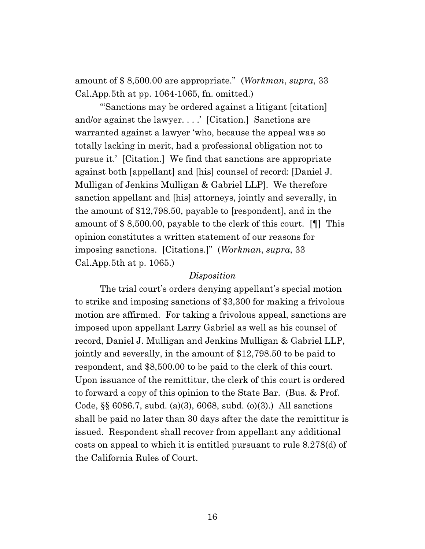amount of \$ 8,500.00 are appropriate." (*Workman*, *supra*, 33 Cal.App.5th at pp. 1064-1065, fn. omitted.)

"'Sanctions may be ordered against a litigant [citation] and/or against the lawyer. . . .' [Citation.] Sanctions are warranted against a lawyer 'who, because the appeal was so totally lacking in merit, had a professional obligation not to pursue it.' [Citation.] We find that sanctions are appropriate against both [appellant] and [his] counsel of record: [Daniel J. Mulligan of Jenkins Mulligan & Gabriel LLP]. We therefore sanction appellant and [his] attorneys, jointly and severally, in the amount of \$12,798.50, payable to [respondent], and in the amount of \$ 8,500.00, payable to the clerk of this court. [¶] This opinion constitutes a written statement of our reasons for imposing sanctions. [Citations.]" (*Workman*, *supra*, 33 Cal.App.5th at p. 1065.)

#### *Disposition*

The trial court's orders denying appellant's special motion to strike and imposing sanctions of \$3,300 for making a frivolous motion are affirmed. For taking a frivolous appeal, sanctions are imposed upon appellant Larry Gabriel as well as his counsel of record, Daniel J. Mulligan and Jenkins Mulligan & Gabriel LLP, jointly and severally, in the amount of \$12,798.50 to be paid to respondent, and \$8,500.00 to be paid to the clerk of this court. Upon issuance of the remittitur, the clerk of this court is ordered to forward a copy of this opinion to the State Bar. (Bus. & Prof. Code, §§ 6086.7, subd. (a)(3), 6068, subd. (o)(3).) All sanctions shall be paid no later than 30 days after the date the remittitur is issued. Respondent shall recover from appellant any additional costs on appeal to which it is entitled pursuant to rule 8.278(d) of the California Rules of Court.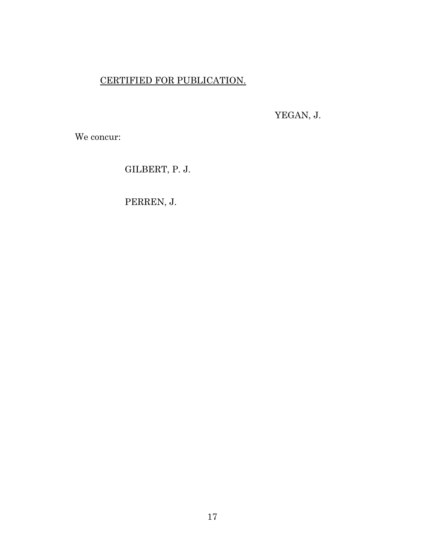# CERTIFIED FOR PUBLICATION.

YEGAN, J.

We concur:

GILBERT, P. J.

PERREN, J.